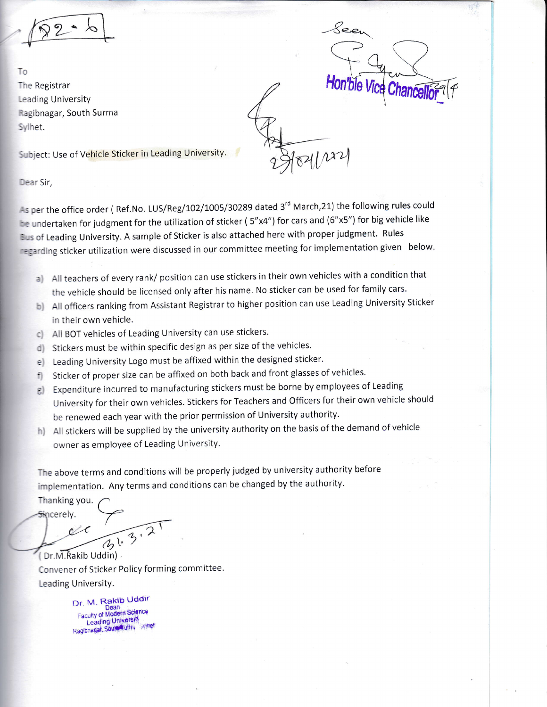To The Registrar Leading University Ragibnagar, South Surma Sylhet.

 $B1/122$ 

Subject: Use of Vehicle Sticker in Leading University.

Dear Sir,

-s per the office order (Ref.No. LUS/Reg/102/1005/30289 dated 3<sup>rd</sup> March,21) the following rules could the undertaken for judgment for the utilization of sticker (5"x4") for cars and (6"x5") for big vehicle like Eus of Leading University. A sample of Sticker is also attached here with proper judgment. Rules regarding sticker utilization were discussed in our committee meeting for implementation given below.

- a) All teachers of every rank/ position can use stickers in their own vehicles with a condition that the vehicle should be licensed only after his name. No sticker can be used for family cars.
- b) All officers ranking from Assistant Registrar to higher position can use Leading University Sticker in their own vehicle.
- c) All BOT vehicles of Leading University can use stickers
- d) Stickers must be within specific design as per size of the vehicles.
- e) Leading University Logo must be affixed within the designed sticker.
- Sticker of proper size can be affixed on both back and front glasses of vehicles. f)
- g) Expenditure incurred to manufacturing stickers must be borne by employees of Leading Jniversity for their own vehicles. Stickers for Teachers and Officers for their own vehicle should le renewed each year with the prior permission of University authority.
- h) All stickers will be supplied by the university authority on the basis of the demand of vehicle owner as employee of Leading University.

The above terms and conditions will be properly judged by university authority before implementation. Any terms and conditions can be changed by the authority.

Thanking you. Sincerely.

Convener of Sticker Policy forming committee. Leading University. Dr.M.Rakib Uddin)

> Dr. M. Rakib Uddir Dean<br>Faculty of Modern Science Leading University